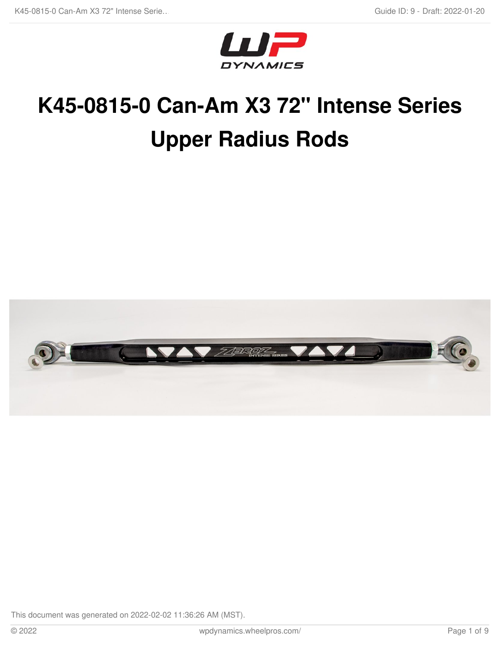

# **K45-0815-0 Can-Am X3 72" Intense Series Upper Radius Rods**

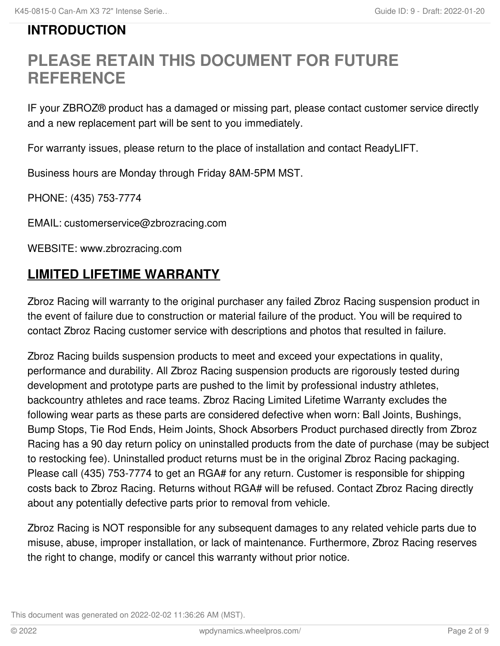# **INTRODUCTION**

# **PLEASE RETAIN THIS DOCUMENT FOR FUTURE REFERENCE**

IF your ZBROZ® product has a damaged or missing part, please contact customer service directly and a new replacement part will be sent to you immediately.

For warranty issues, please return to the place of installation and contact ReadyLIFT.

Business hours are Monday through Friday 8AM-5PM MST.

PHONE: (435) 753-7774

EMAIL: customerservice@zbrozracing.com

WEBSITE: www.zbrozracing.com

# **LIMITED LIFETIME WARRANTY**

Zbroz Racing will warranty to the original purchaser any failed Zbroz Racing suspension product in the event of failure due to construction or material failure of the product. You will be required to contact Zbroz Racing customer service with descriptions and photos that resulted in failure.

Zbroz Racing builds suspension products to meet and exceed your expectations in quality, performance and durability. All Zbroz Racing suspension products are rigorously tested during development and prototype parts are pushed to the limit by professional industry athletes, backcountry athletes and race teams. Zbroz Racing Limited Lifetime Warranty excludes the following wear parts as these parts are considered defective when worn: Ball Joints, Bushings, Bump Stops, Tie Rod Ends, Heim Joints, Shock Absorbers Product purchased directly from Zbroz Racing has a 90 day return policy on uninstalled products from the date of purchase (may be subject to restocking fee). Uninstalled product returns must be in the original Zbroz Racing packaging. Please call (435) 753-7774 to get an RGA# for any return. Customer is responsible for shipping costs back to Zbroz Racing. Returns without RGA# will be refused. Contact Zbroz Racing directly about any potentially defective parts prior to removal from vehicle.

Zbroz Racing is NOT responsible for any subsequent damages to any related vehicle parts due to misuse, abuse, improper installation, or lack of maintenance. Furthermore, Zbroz Racing reserves the right to change, modify or cancel this warranty without prior notice.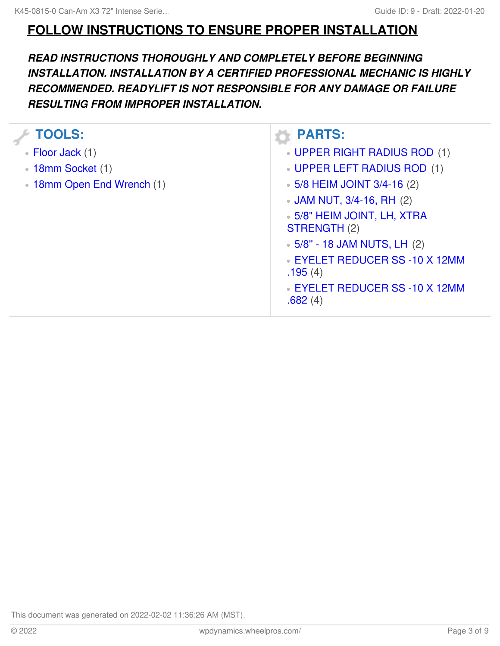## **FOLLOW INSTRUCTIONS TO ENSURE PROPER INSTALLATION**

### *READ INSTRUCTIONS THOROUGHLY AND COMPLETELY BEFORE BEGINNING INSTALLATION. INSTALLATION BY A CERTIFIED PROFESSIONAL MECHANIC IS HIGHLY RECOMMENDED. READYLIFT IS NOT RESPONSIBLE FOR ANY DAMAGE OR FAILURE RESULTING FROM IMPROPER INSTALLATION.*

| <b>TOOLS:</b>              | <b>PARTS:</b>                                      |
|----------------------------|----------------------------------------------------|
| • Floor Jack (1)           | UPPER RIGHT RADIUS ROD (1)                         |
| <b>18mm Socket (1)</b>     | UPPER LEFT RADIUS ROD (1)                          |
| • 18mm Open End Wrench (1) | $\bullet$ 5/8 HEIM JOINT 3/4-16 (2)                |
|                            | • JAM NUT, 3/4-16, RH (2)                          |
|                            | • 5/8" HEIM JOINT, LH, XTRA<br><b>STRENGTH (2)</b> |
|                            | $\bullet$ 5/8" - 18 JAM NUTS, LH (2)               |
|                            | <b>EYELET REDUCER SS-10 X 12MM</b><br>.195(4)      |
|                            | EYELET REDUCER SS -10 X 12MM<br>.682(4)            |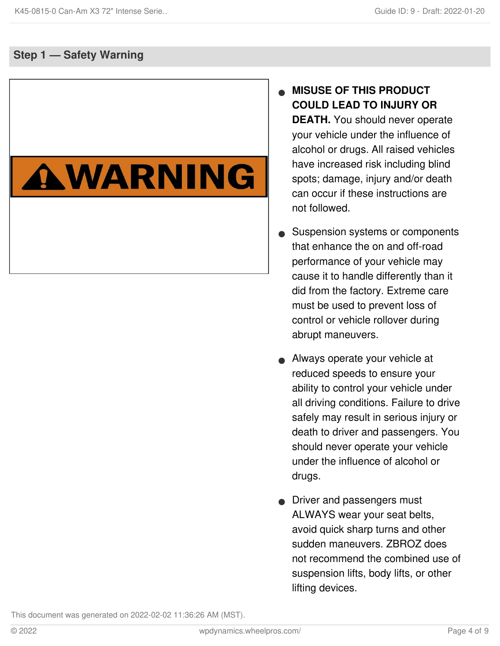### **Step 1 — Safety Warning**

# AWARNING

### **MISUSE OF THIS PRODUCT COULD LEAD TO INJURY OR DEATH.** You should never operate your vehicle under the influence of alcohol or drugs. All raised vehicles have increased risk including blind spots; damage, injury and/or death can occur if these instructions are not followed.  $\bullet$

- Suspension systems or components that enhance the on and off-road performance of your vehicle may cause it to handle differently than it did from the factory. Extreme care must be used to prevent loss of control or vehicle rollover during abrupt maneuvers.  $\bullet$
- Always operate your vehicle at reduced speeds to ensure your ability to control your vehicle under all driving conditions. Failure to drive safely may result in serious injury or death to driver and passengers. You should never operate your vehicle under the influence of alcohol or drugs.  $\bullet$
- **•** Driver and passengers must ALWAYS wear your seat belts, avoid quick sharp turns and other sudden maneuvers. ZBROZ does not recommend the combined use of suspension lifts, body lifts, or other lifting devices.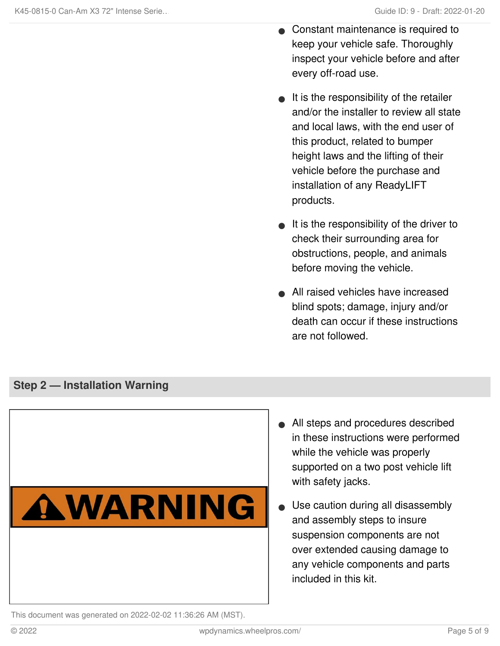- Constant maintenance is required to keep your vehicle safe. Thoroughly inspect your vehicle before and after every off-road use.  $\bullet$
- $\bullet$  It is the responsibility of the retailer and/or the installer to review all state and local laws, with the end user of this product, related to bumper height laws and the lifting of their vehicle before the purchase and installation of any ReadyLIFT products.
- $\bullet$  It is the responsibility of the driver to check their surrounding area for obstructions, people, and animals before moving the vehicle.
- All raised vehicles have increased blind spots; damage, injury and/or death can occur if these instructions are not followed.

### **Step 2 — Installation Warning**



- All steps and procedures described in these instructions were performed while the vehicle was properly supported on a two post vehicle lift with safety jacks.
- Use caution during all disassembly and assembly steps to insure suspension components are not over extended causing damage to any vehicle components and parts included in this kit.  $\bullet$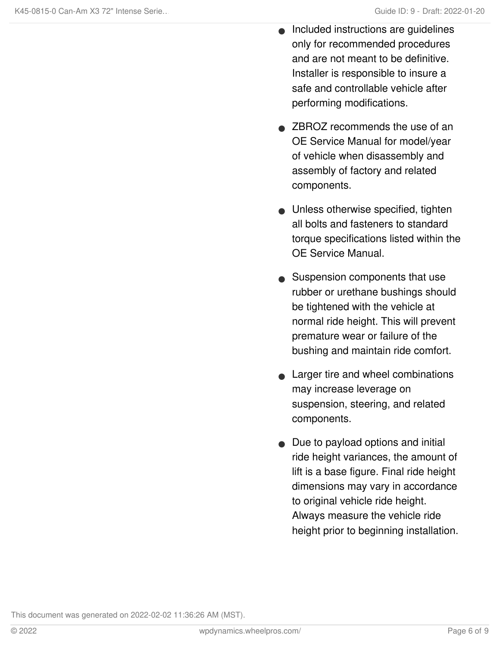- Included instructions are guidelines only for recommended procedures and are not meant to be definitive. Installer is responsible to insure a safe and controllable vehicle after performing modifications.  $\bullet$
- **ZBROZ recommends the use of an** OE Service Manual for model/year of vehicle when disassembly and assembly of factory and related components.
- Unless otherwise specified, tighten all bolts and fasteners to standard torque specifications listed within the OE Service Manual.
- Suspension components that use rubber or urethane bushings should be tightened with the vehicle at normal ride height. This will prevent premature wear or failure of the bushing and maintain ride comfort.
- Larger tire and wheel combinations may increase leverage on suspension, steering, and related components.  $\bullet$
- Due to payload options and initial ride height variances, the amount of lift is a base figure. Final ride height dimensions may vary in accordance to original vehicle ride height. Always measure the vehicle ride height prior to beginning installation.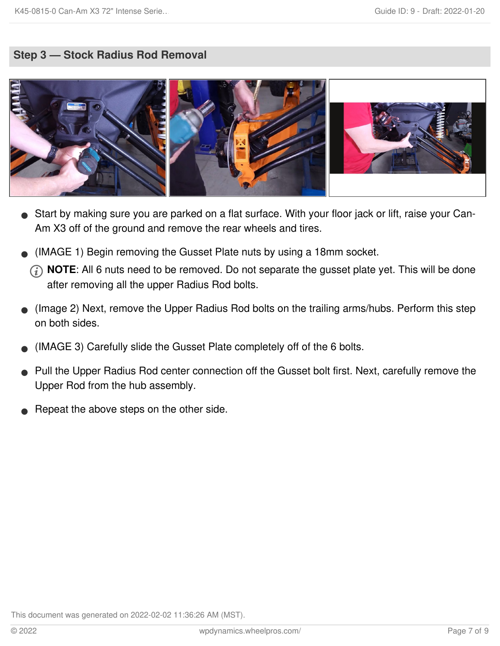### **Step 3 — Stock Radius Rod Removal**



- Start by making sure you are parked on a flat surface. With your floor jack or lift, raise your Can- Am X3 off of the ground and remove the rear wheels and tires.
- (IMAGE 1) Begin removing the Gusset Plate nuts by using a 18mm socket.
	- **NOTE**: All 6 nuts need to be removed. Do not separate the gusset plate yet. This will be done after removing all the upper Radius Rod bolts.
- (Image 2) Next, remove the Upper Radius Rod bolts on the trailing arms/hubs. Perform this step on both sides.  $\bullet$
- (IMAGE 3) Carefully slide the Gusset Plate completely off of the 6 bolts.
- Pull the Upper Radius Rod center connection off the Gusset bolt first. Next, carefully remove the Upper Rod from the hub assembly.  $\bullet$
- Repeat the above steps on the other side.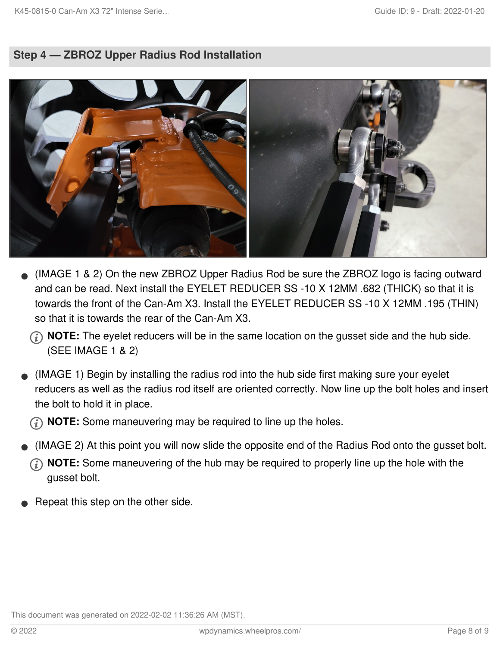### **Step 4 — ZBROZ Upper Radius Rod Installation**



- (IMAGE 1 & 2) On the new ZBROZ Upper Radius Rod be sure the ZBROZ logo is facing outward and can be read. Next install the EYELET REDUCER SS -10 X 12MM .682 (THICK) so that it is towards the front of the Can-Am X3. Install the EYELET REDUCER SS -10 X 12MM .195 (THIN) so that it is towards the rear of the Can-Am X3.
	- **NOTE:** The eyelet reducers will be in the same location on the gusset side and the hub side. (SEE IMAGE 1 & 2)
- (IMAGE 1) Begin by installing the radius rod into the hub side first making sure your eyelet reducers as well as the radius rod itself are oriented correctly. Now line up the bolt holes and insert the bolt to hold it in place.  $\bullet$

**(i) NOTE:** Some maneuvering may be required to line up the holes.

- (IMAGE 2) At this point you will now slide the opposite end of the Radius Rod onto the gusset bolt.
	- **NOTE:** Some maneuvering of the hub may be required to properly line up the hole with the gusset bolt.
- Repeat this step on the other side.